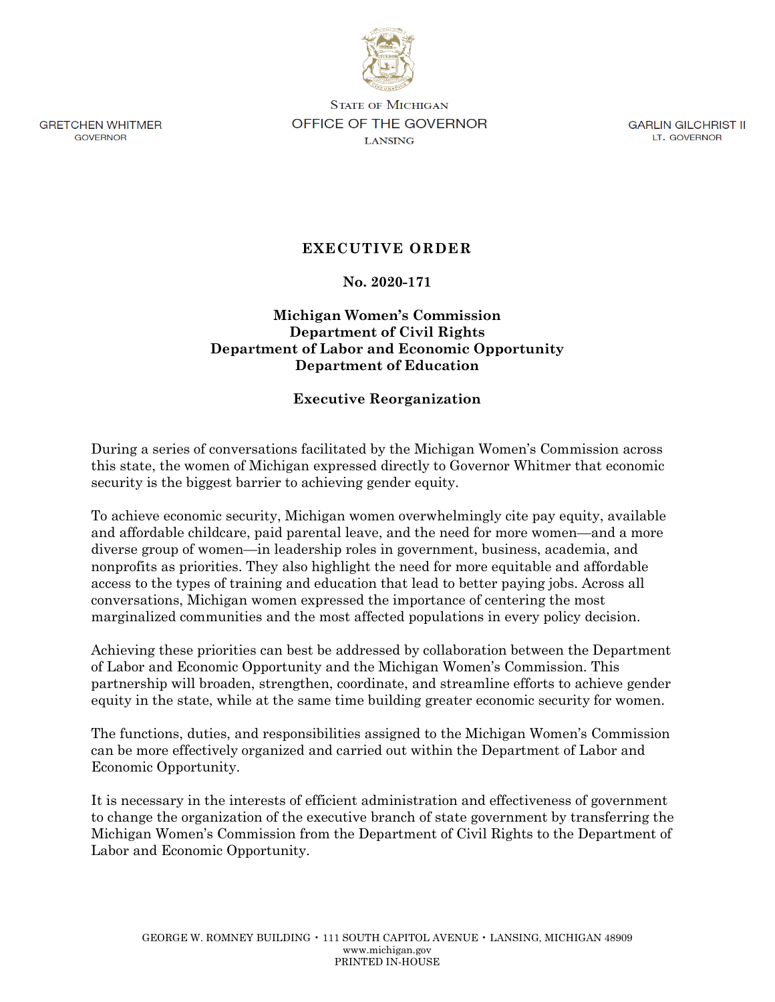

**GRETCHEN WHITMER** GOVERNOR

**STATE OF MICHIGAN OFFICE OF THE GOVERNOR LANSING** 

GARLIN GILCHRIST II LT. GOVERNOR

# **EXECUTIVE ORDER**

### **No. 2020-171**

## **Michigan Women's Commission Department of Civil Rights Department of Labor and Economic Opportunity Department of Education**

### **Executive Reorganization**

During a series of conversations facilitated by the Michigan Women's Commission across this state, the women of Michigan expressed directly to Governor Whitmer that economic security is the biggest barrier to achieving gender equity.

To achieve economic security, Michigan women overwhelmingly cite pay equity, available and affordable childcare, paid parental leave, and the need for more women—and a more diverse group of women—in leadership roles in government, business, academia, and nonprofits as priorities. They also highlight the need for more equitable and affordable access to the types of training and education that lead to better paying jobs. Across all conversations, Michigan women expressed the importance of centering the most marginalized communities and the most affected populations in every policy decision.

Achieving these priorities can best be addressed by collaboration between the Department of Labor and Economic Opportunity and the Michigan Women's Commission. This partnership will broaden, strengthen, coordinate, and streamline efforts to achieve gender equity in the state, while at the same time building greater economic security for women.

The functions, duties, and responsibilities assigned to the Michigan Women's Commission can be more effectively organized and carried out within the Department of Labor and Economic Opportunity.

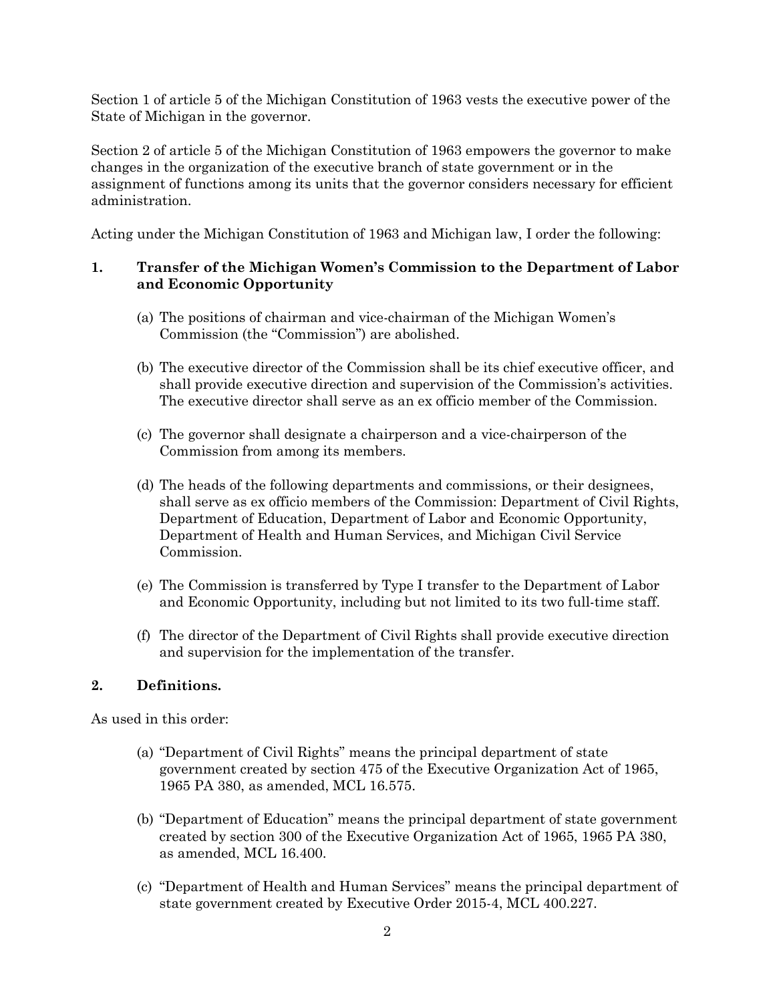Section 1 of article 5 of the Michigan Constitution of 1963 vests the executive power of the State of Michigan in the governor.

Section 2 of article 5 of the Michigan Constitution of 1963 empowers the governor to make changes in the organization of the executive branch of state government or in the assignment of functions among its units that the governor considers necessary for efficient administration.

Acting under the Michigan Constitution of 1963 and Michigan law, I order the following:

## **1. Transfer of the Michigan Women's Commission to the Department of Labor and Economic Opportunity**

- (a) The positions of chairman and vice-chairman of the Michigan Women's Commission (the "Commission") are abolished.
- (b) The executive director of the Commission shall be its chief executive officer, and shall provide executive direction and supervision of the Commission's activities. The executive director shall serve as an ex officio member of the Commission.
- (c) The governor shall designate a chairperson and a vice-chairperson of the Commission from among its members.
- (d) The heads of the following departments and commissions, or their designees, shall serve as ex officio members of the Commission: Department of Civil Rights, Department of Education, Department of Labor and Economic Opportunity, Department of Health and Human Services, and Michigan Civil Service Commission.
- (e) The Commission is transferred by Type I transfer to the Department of Labor and Economic Opportunity, including but not limited to its two full-time staff.
- (f) The director of the Department of Civil Rights shall provide executive direction and supervision for the implementation of the transfer.

### **2. Definitions.**

As used in this order:

- (a) "Department of Civil Rights" means the principal department of state government created by section 475 of the Executive Organization Act of 1965, 1965 PA 380, as amended, MCL 16.575.
- (b) "Department of Education" means the principal department of state government created by section 300 of the Executive Organization Act of 1965, 1965 PA 380, as amended, MCL 16.400.
- (c) "Department of Health and Human Services" means the principal department of state government created by Executive Order 2015-4, MCL 400.227.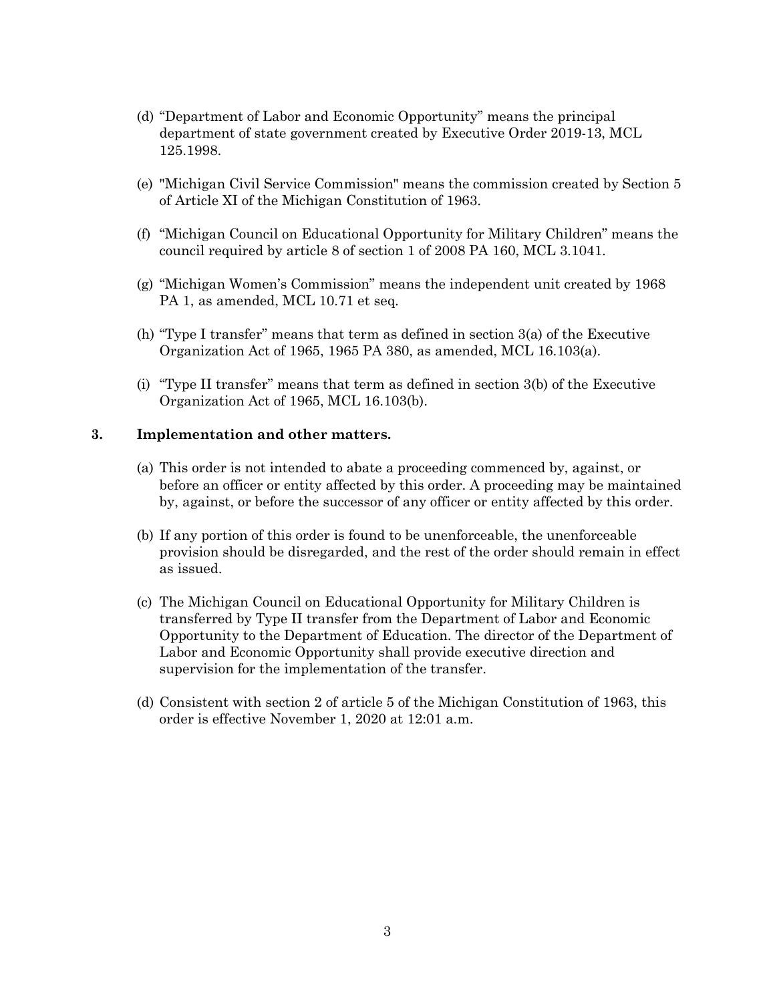- (d) "Department of Labor and Economic Opportunity" means the principal department of state government created by Executive Order 2019-13, MCL 125.1998.
- (e) "Michigan Civil Service Commission" means the commission created by Section 5 of Article XI of the Michigan Constitution of 1963.
- (f) "Michigan Council on Educational Opportunity for Military Children" means the council required by article 8 of section 1 of 2008 PA 160, MCL 3.1041.
- (g) "Michigan Women's Commission" means the independent unit created by 1968 PA 1, as amended, MCL 10.71 et seq.
- (h) "Type I transfer" means that term as defined in section 3(a) of the Executive Organization Act of 1965, 1965 PA 380, as amended, MCL 16.103(a).
- (i) "Type II transfer" means that term as defined in section 3(b) of the Executive Organization Act of 1965, MCL 16.103(b).

#### **3. Implementation and other matters.**

- (a) This order is not intended to abate a proceeding commenced by, against, or before an officer or entity affected by this order. A proceeding may be maintained by, against, or before the successor of any officer or entity affected by this order.
- (b) If any portion of this order is found to be unenforceable, the unenforceable provision should be disregarded, and the rest of the order should remain in effect as issued.
- (c) The Michigan Council on Educational Opportunity for Military Children is transferred by Type II transfer from the Department of Labor and Economic Opportunity to the Department of Education. The director of the Department of Labor and Economic Opportunity shall provide executive direction and supervision for the implementation of the transfer.
- (d) Consistent with section 2 of article 5 of the Michigan Constitution of 1963, this order is effective November 1, 2020 at 12:01 a.m.